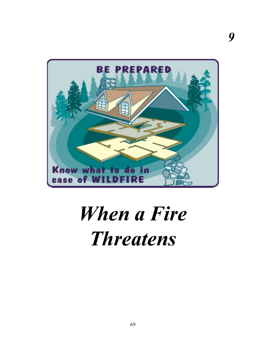

*9*

## *When a Fire Threatens*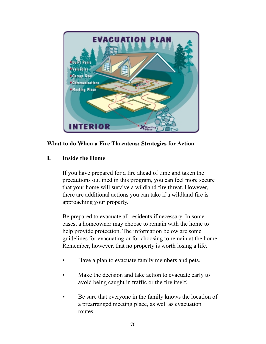

## **What to do When a Fire Threatens: Strategies for Action**

## **I. Inside the Home**

If you have prepared for a fire ahead of time and taken the precautions outlined in this program, you can feel more secure that your home will survive a wildland fire threat. However, there are additional actions you can take if a wildland fire is approaching your property.

Be prepared to evacuate all residents if necessary. In some cases, a homeowner may choose to remain with the home to help provide protection. The information below are some guidelines for evacuating or for choosing to remain at the home. Remember, however, that no property is worth losing a life.

- Have a plan to evacuate family members and pets.
- Make the decision and take action to evacuate early to avoid being caught in traffic or the fire itself.
- Be sure that everyone in the family knows the location of a prearranged meeting place, as well as evacuation routes.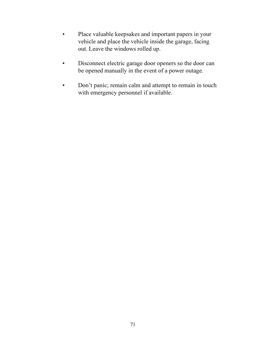- Place valuable keepsakes and important papers in your vehicle and place the vehicle inside the garage, facing out. Leave the windows rolled up.
- Disconnect electric garage door openers so the door can be opened manually in the event of a power outage.
- Don't panic; remain calm and attempt to remain in touch with emergency personnel if available.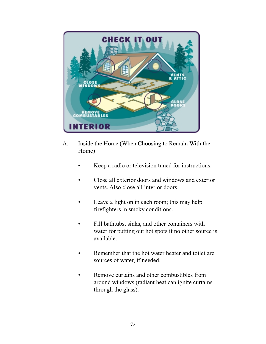

- A. Inside the Home (When Choosing to Remain With the Home)
	- Keep a radio or television tuned for instructions.
	- Close all exterior doors and windows and exterior vents. Also close all interior doors.
	- Leave a light on in each room; this may help firefighters in smoky conditions.
	- Fill bathtubs, sinks, and other containers with water for putting out hot spots if no other source is available.
	- Remember that the hot water heater and toilet are sources of water, if needed.
	- Remove curtains and other combustibles from around windows (radiant heat can ignite curtains through the glass).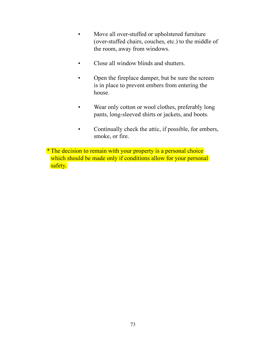- Move all over-stuffed or upholstered furniture (over-stuffed chairs, couches, etc.) to the middle of the room, away from windows.
- Close all window blinds and shutters.
- Open the fireplace damper, but be sure the screen is in place to prevent embers from entering the house.
- Wear only cotton or wool clothes, preferably long pants, long-sleeved shirts or jackets, and boots.
- Continually check the attic, if possible, for embers, smoke, or fire.

<sup>\*</sup> The decision to remain with your property is a personal choice which should be made only if conditions allow for your personal safety.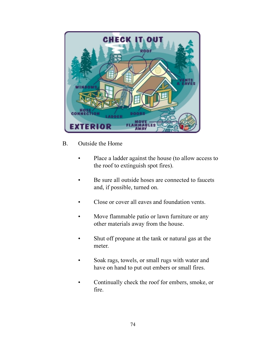

## B. Outside the Home

- Place a ladder against the house (to allow access to the roof to extinguish spot fires).
- Be sure all outside hoses are connected to faucets and, if possible, turned on.
- Close or cover all eaves and foundation vents.
- Move flammable patio or lawn furniture or any other materials away from the house.
- Shut off propane at the tank or natural gas at the meter.
- Soak rags, towels, or small rugs with water and have on hand to put out embers or small fires.
- Continually check the roof for embers, smoke, or fire.